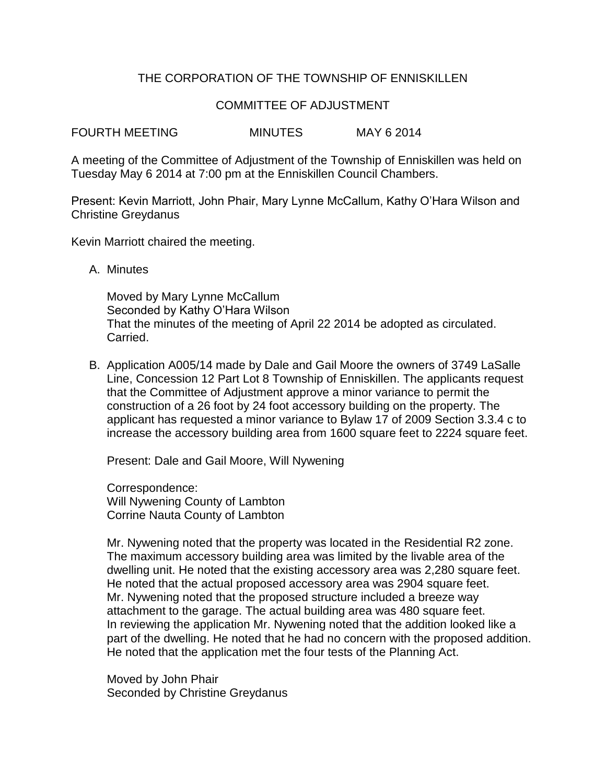# THE CORPORATION OF THE TOWNSHIP OF ENNISKILLEN

## COMMITTEE OF ADJUSTMENT

FOURTH MEETING MINUTES MAY 6 2014

A meeting of the Committee of Adjustment of the Township of Enniskillen was held on Tuesday May 6 2014 at 7:00 pm at the Enniskillen Council Chambers.

Present: Kevin Marriott, John Phair, Mary Lynne McCallum, Kathy O'Hara Wilson and Christine Greydanus

Kevin Marriott chaired the meeting.

A. Minutes

Moved by Mary Lynne McCallum Seconded by Kathy O'Hara Wilson That the minutes of the meeting of April 22 2014 be adopted as circulated. Carried.

B. Application A005/14 made by Dale and Gail Moore the owners of 3749 LaSalle Line, Concession 12 Part Lot 8 Township of Enniskillen. The applicants request that the Committee of Adjustment approve a minor variance to permit the construction of a 26 foot by 24 foot accessory building on the property. The applicant has requested a minor variance to Bylaw 17 of 2009 Section 3.3.4 c to increase the accessory building area from 1600 square feet to 2224 square feet.

Present: Dale and Gail Moore, Will Nywening

Correspondence: Will Nywening County of Lambton Corrine Nauta County of Lambton

Mr. Nywening noted that the property was located in the Residential R2 zone. The maximum accessory building area was limited by the livable area of the dwelling unit. He noted that the existing accessory area was 2,280 square feet. He noted that the actual proposed accessory area was 2904 square feet. Mr. Nywening noted that the proposed structure included a breeze way attachment to the garage. The actual building area was 480 square feet. In reviewing the application Mr. Nywening noted that the addition looked like a part of the dwelling. He noted that he had no concern with the proposed addition. He noted that the application met the four tests of the Planning Act.

Moved by John Phair Seconded by Christine Greydanus